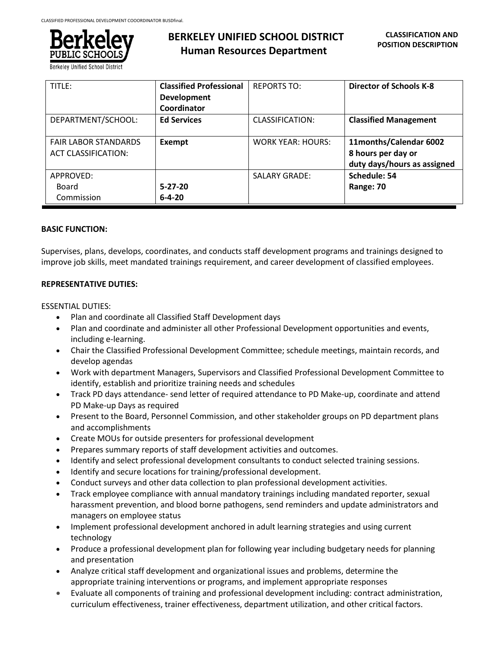

**Berkeley Unified School District** 

| TITLE:                      | <b>Classified Professional</b> | <b>REPORTS TO:</b>       | <b>Director of Schools K-8</b> |
|-----------------------------|--------------------------------|--------------------------|--------------------------------|
|                             | <b>Development</b>             |                          |                                |
|                             | Coordinator                    |                          |                                |
| DEPARTMENT/SCHOOL:          | <b>Ed Services</b>             | CLASSIFICATION:          | <b>Classified Management</b>   |
| <b>FAIR LABOR STANDARDS</b> | Exempt                         | <b>WORK YEAR: HOURS:</b> | 11months/Calendar 6002         |
| <b>ACT CLASSIFICATION:</b>  |                                |                          | 8 hours per day or             |
|                             |                                |                          | duty days/hours as assigned    |
| APPROVED:                   |                                | <b>SALARY GRADE:</b>     | Schedule: 54                   |
| Board                       | $5 - 27 - 20$                  |                          | Range: 70                      |
| Commission                  | $6 - 4 - 20$                   |                          |                                |

# **BASIC FUNCTION:**

Supervises, plans, develops, coordinates, and conducts staff development programs and trainings designed to improve job skills, meet mandated trainings requirement, and career development of classified employees.

# **REPRESENTATIVE DUTIES:**

### ESSENTIAL DUTIES:

- Plan and coordinate all Classified Staff Development days
- Plan and coordinate and administer all other Professional Development opportunities and events, including e-learning.
- Chair the Classified Professional Development Committee; schedule meetings, maintain records, and develop agendas
- Work with department Managers, Supervisors and Classified Professional Development Committee to identify, establish and prioritize training needs and schedules
- Track PD days attendance- send letter of required attendance to PD Make-up, coordinate and attend PD Make-up Days as required
- Present to the Board, Personnel Commission, and other stakeholder groups on PD department plans and accomplishments
- Create MOUs for outside presenters for professional development
- Prepares summary reports of staff development activities and outcomes.
- Identify and select professional development consultants to conduct selected training sessions.
- Identify and secure locations for training/professional development.
- Conduct surveys and other data collection to plan professional development activities.
- Track employee compliance with annual mandatory trainings including mandated reporter, sexual harassment prevention, and blood borne pathogens, send reminders and update administrators and managers on employee status
- Implement professional development anchored in adult learning strategies and using current technology
- Produce a professional development plan for following year including budgetary needs for planning and presentation
- Analyze critical staff development and organizational issues and problems, determine the appropriate training interventions or programs, and implement appropriate responses
- Evaluate all components of training and professional development including: contract administration, curriculum effectiveness, trainer effectiveness, department utilization, and other critical factors.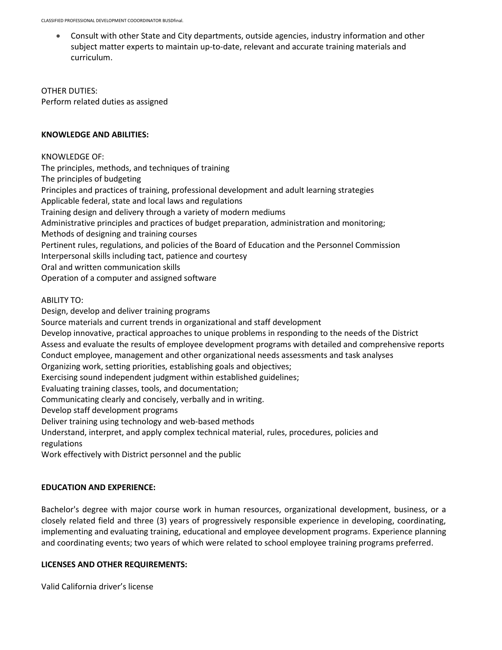• Consult with other State and City departments, outside agencies, industry information and other subject matter experts to maintain up-to-date, relevant and accurate training materials and curriculum.

OTHER DUTIES: Perform related duties as assigned

### **KNOWLEDGE AND ABILITIES:**

KNOWLEDGE OF: The principles, methods, and techniques of training The principles of budgeting Principles and practices of training, professional development and adult learning strategies Applicable federal, state and local laws and regulations Training design and delivery through a variety of modern mediums Administrative principles and practices of budget preparation, administration and monitoring; Methods of designing and training courses Pertinent rules, regulations, and policies of the Board of Education and the Personnel Commission Interpersonal skills including tact, patience and courtesy Oral and written communication skills Operation of a computer and assigned software

ABILITY TO:

Design, develop and deliver training programs Source materials and current trends in organizational and staff development Develop innovative, practical approaches to unique problems in responding to the needs of the District Assess and evaluate the results of employee development programs with detailed and comprehensive reports Conduct employee, management and other organizational needs assessments and task analyses Organizing work, setting priorities, establishing goals and objectives; Exercising sound independent judgment within established guidelines; Evaluating training classes, tools, and documentation; Communicating clearly and concisely, verbally and in writing. Develop staff development programs Deliver training using technology and web-based methods Understand, interpret, and apply complex technical material, rules, procedures, policies and regulations

Work effectively with District personnel and the public

# **EDUCATION AND EXPERIENCE:**

Bachelor's degree with major course work in human resources, organizational development, business, or a closely related field and three (3) years of progressively responsible experience in developing, coordinating, implementing and evaluating training, educational and employee development programs. Experience planning and coordinating events; two years of which were related to school employee training programs preferred.

### **LICENSES AND OTHER REQUIREMENTS:**

Valid California driver's license